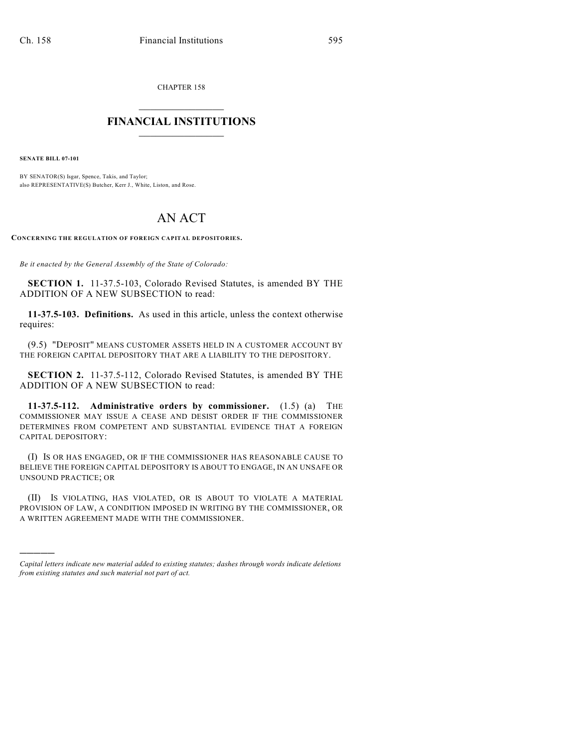CHAPTER 158

## $\mathcal{L}_\text{max}$  . The set of the set of the set of the set of the set of the set of the set of the set of the set of the set of the set of the set of the set of the set of the set of the set of the set of the set of the set **FINANCIAL INSTITUTIONS**  $\frac{1}{2}$  ,  $\frac{1}{2}$  ,  $\frac{1}{2}$  ,  $\frac{1}{2}$  ,  $\frac{1}{2}$  ,  $\frac{1}{2}$  ,  $\frac{1}{2}$

**SENATE BILL 07-101**

)))))

BY SENATOR(S) Isgar, Spence, Takis, and Taylor; also REPRESENTATIVE(S) Butcher, Kerr J., White, Liston, and Rose.

## AN ACT

**CONCERNING THE REGULATION OF FOREIGN CAPITAL DEPOSITORIES.**

*Be it enacted by the General Assembly of the State of Colorado:*

**SECTION 1.** 11-37.5-103, Colorado Revised Statutes, is amended BY THE ADDITION OF A NEW SUBSECTION to read:

**11-37.5-103. Definitions.** As used in this article, unless the context otherwise requires:

(9.5) "DEPOSIT" MEANS CUSTOMER ASSETS HELD IN A CUSTOMER ACCOUNT BY THE FOREIGN CAPITAL DEPOSITORY THAT ARE A LIABILITY TO THE DEPOSITORY.

**SECTION 2.** 11-37.5-112, Colorado Revised Statutes, is amended BY THE ADDITION OF A NEW SUBSECTION to read:

**11-37.5-112. Administrative orders by commissioner.** (1.5) (a) THE COMMISSIONER MAY ISSUE A CEASE AND DESIST ORDER IF THE COMMISSIONER DETERMINES FROM COMPETENT AND SUBSTANTIAL EVIDENCE THAT A FOREIGN CAPITAL DEPOSITORY:

(I) IS OR HAS ENGAGED, OR IF THE COMMISSIONER HAS REASONABLE CAUSE TO BELIEVE THE FOREIGN CAPITAL DEPOSITORY IS ABOUT TO ENGAGE, IN AN UNSAFE OR UNSOUND PRACTICE; OR

(II) IS VIOLATING, HAS VIOLATED, OR IS ABOUT TO VIOLATE A MATERIAL PROVISION OF LAW, A CONDITION IMPOSED IN WRITING BY THE COMMISSIONER, OR A WRITTEN AGREEMENT MADE WITH THE COMMISSIONER.

*Capital letters indicate new material added to existing statutes; dashes through words indicate deletions from existing statutes and such material not part of act.*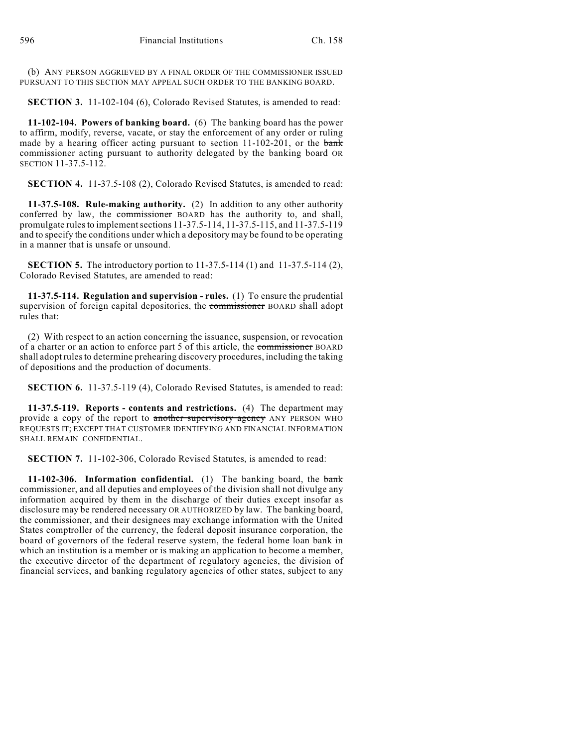(b) ANY PERSON AGGRIEVED BY A FINAL ORDER OF THE COMMISSIONER ISSUED PURSUANT TO THIS SECTION MAY APPEAL SUCH ORDER TO THE BANKING BOARD.

**SECTION 3.** 11-102-104 (6), Colorado Revised Statutes, is amended to read:

**11-102-104. Powers of banking board.** (6) The banking board has the power to affirm, modify, reverse, vacate, or stay the enforcement of any order or ruling made by a hearing officer acting pursuant to section 11-102-201, or the bank commissioner acting pursuant to authority delegated by the banking board OR SECTION 11-37.5-112.

**SECTION 4.** 11-37.5-108 (2), Colorado Revised Statutes, is amended to read:

**11-37.5-108. Rule-making authority.** (2) In addition to any other authority conferred by law, the commissioner BOARD has the authority to, and shall, promulgate rules to implement sections 11-37.5-114, 11-37.5-115, and 11-37.5-119 and to specify the conditions under which a depository may be found to be operating in a manner that is unsafe or unsound.

**SECTION 5.** The introductory portion to 11-37.5-114 (1) and 11-37.5-114 (2), Colorado Revised Statutes, are amended to read:

**11-37.5-114. Regulation and supervision - rules.** (1) To ensure the prudential supervision of foreign capital depositories, the commissioner BOARD shall adopt rules that:

(2) With respect to an action concerning the issuance, suspension, or revocation of a charter or an action to enforce part 5 of this article, the commissioner BOARD shall adopt rules to determine prehearing discovery procedures, including the taking of depositions and the production of documents.

**SECTION 6.** 11-37.5-119 (4), Colorado Revised Statutes, is amended to read:

**11-37.5-119. Reports - contents and restrictions.** (4) The department may provide a copy of the report to another supervisory agency ANY PERSON WHO REQUESTS IT; EXCEPT THAT CUSTOMER IDENTIFYING AND FINANCIAL INFORMATION SHALL REMAIN CONFIDENTIAL.

**SECTION 7.** 11-102-306, Colorado Revised Statutes, is amended to read:

**11-102-306.** Information confidential. (1) The banking board, the bank commissioner, and all deputies and employees of the division shall not divulge any information acquired by them in the discharge of their duties except insofar as disclosure may be rendered necessary OR AUTHORIZED by law. The banking board, the commissioner, and their designees may exchange information with the United States comptroller of the currency, the federal deposit insurance corporation, the board of governors of the federal reserve system, the federal home loan bank in which an institution is a member or is making an application to become a member, the executive director of the department of regulatory agencies, the division of financial services, and banking regulatory agencies of other states, subject to any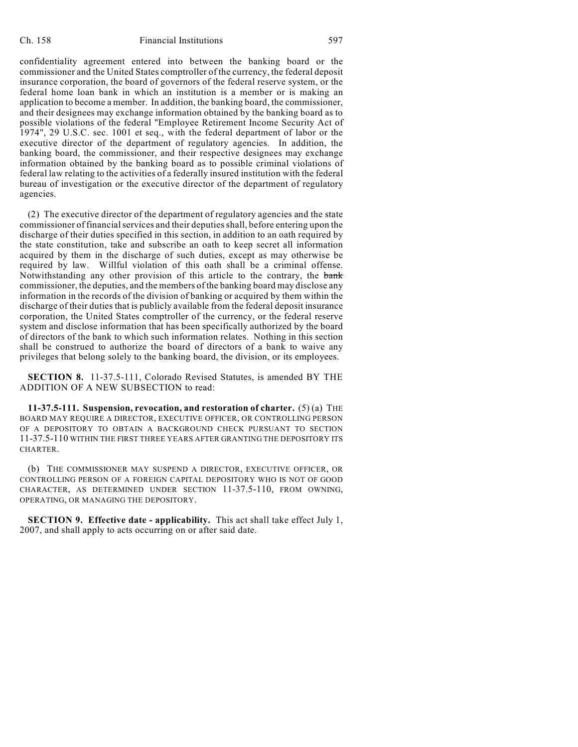confidentiality agreement entered into between the banking board or the commissioner and the United States comptroller of the currency, the federal deposit insurance corporation, the board of governors of the federal reserve system, or the federal home loan bank in which an institution is a member or is making an application to become a member. In addition, the banking board, the commissioner, and their designees may exchange information obtained by the banking board as to possible violations of the federal "Employee Retirement Income Security Act of 1974", 29 U.S.C. sec. 1001 et seq., with the federal department of labor or the executive director of the department of regulatory agencies. In addition, the banking board, the commissioner, and their respective designees may exchange information obtained by the banking board as to possible criminal violations of federal law relating to the activities of a federally insured institution with the federal bureau of investigation or the executive director of the department of regulatory agencies.

(2) The executive director of the department of regulatory agencies and the state commissioner of financial services and their deputies shall, before entering upon the discharge of their duties specified in this section, in addition to an oath required by the state constitution, take and subscribe an oath to keep secret all information acquired by them in the discharge of such duties, except as may otherwise be required by law. Willful violation of this oath shall be a criminal offense. Notwithstanding any other provision of this article to the contrary, the bank commissioner, the deputies, and the members of the banking board may disclose any information in the records of the division of banking or acquired by them within the discharge of their duties that is publicly available from the federal deposit insurance corporation, the United States comptroller of the currency, or the federal reserve system and disclose information that has been specifically authorized by the board of directors of the bank to which such information relates. Nothing in this section shall be construed to authorize the board of directors of a bank to waive any privileges that belong solely to the banking board, the division, or its employees.

**SECTION 8.** 11-37.5-111, Colorado Revised Statutes, is amended BY THE ADDITION OF A NEW SUBSECTION to read:

**11-37.5-111. Suspension, revocation, and restoration of charter.** (5) (a) THE BOARD MAY REQUIRE A DIRECTOR, EXECUTIVE OFFICER, OR CONTROLLING PERSON OF A DEPOSITORY TO OBTAIN A BACKGROUND CHECK PURSUANT TO SECTION 11-37.5-110 WITHIN THE FIRST THREE YEARS AFTER GRANTING THE DEPOSITORY ITS CHARTER.

(b) THE COMMISSIONER MAY SUSPEND A DIRECTOR, EXECUTIVE OFFICER, OR CONTROLLING PERSON OF A FOREIGN CAPITAL DEPOSITORY WHO IS NOT OF GOOD CHARACTER, AS DETERMINED UNDER SECTION 11-37.5-110, FROM OWNING, OPERATING, OR MANAGING THE DEPOSITORY.

**SECTION 9. Effective date - applicability.** This act shall take effect July 1, 2007, and shall apply to acts occurring on or after said date.